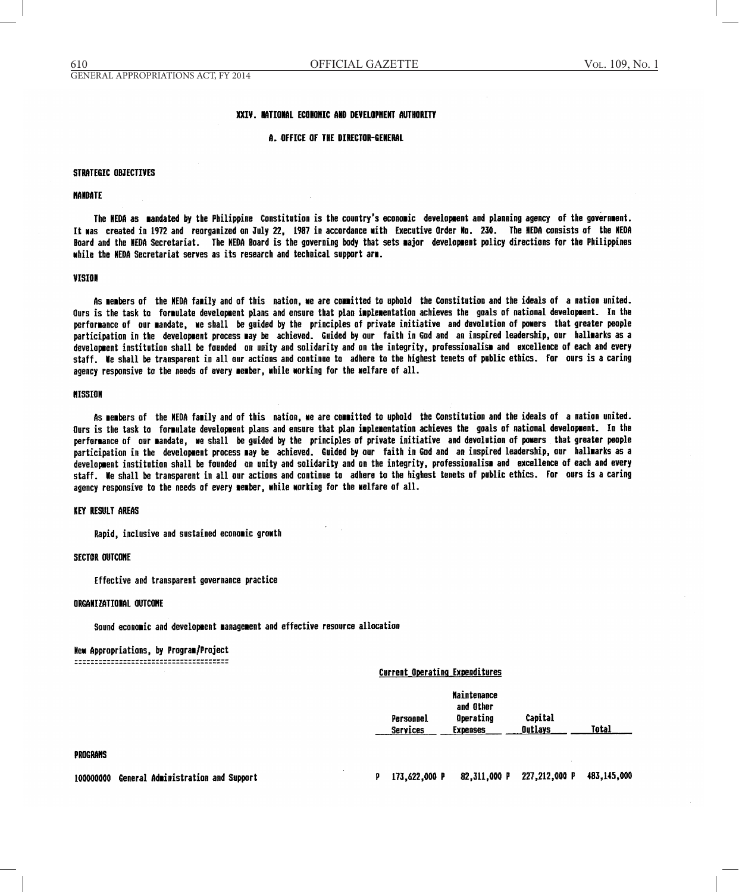#### XXIV. NATIONAL ECONOMIC AND DEVELOPMENT AUTHORITY

#### A. OFFICE OF THE DIRECTOR-GENERAL

#### **STRATEGIC OBJECTIVES**

#### **NANDATE**

The NEDA as mandated by the Philippine Constitution is the country's economic development and planning agency of the government. It was created in 1972 and reorganized on July 22, 1987 in accordance with Executive Order No. 230. The NEDA consists of the NEDA Board and the MEDA Secretariat. The MEDA Board is the governing body that sets major development policy directions for the Philippines while the HEDA Secretariat serves as its research and technical support arm.

#### VISION

As members of the MEDA family and of this nation, we are committed to uphold the Constitution and the ideals of a nation united. Qurs is the task to formulate development plans and ensure that plan implementation achieves the goals of national development. In the performance of our mandate, we shall be guided by the principles of private initiative and devolution of powers that greater people participation in the development process may be achieved. Guided by our faith in God and an inspired leadership, our hallmarks as a development institution shall be founded on unity and solidarity and on the integrity, professionalism and excellence of each and every staff. We shall be transparent in all our actions and continue to adhere to the highest tenets of public ethics. For ours is a caring agency responsive to the needs of every member, while working for the welfare of all.

## **MISSION**

As members of the NEDA family and of this nation, we are committed to uphold the Constitution and the ideals of a nation united. Ours is the task to formulate development plans and ensure that plan implementation achieves the goals of national development. In the performance of our mandate, we shall be guided by the principles of private initiative and devolution of powers, that greater people participation in the development process may be achieved. Guided by our faith in God and an inspired leadership, our hallmarks as a development institution shall be founded on unity and solidarity and on the integrity, professionalism and excellence of each and every staff. We shall be transparent in all our actions and continue to adhere to the highest tenets of public ethics. For ours is a caring agency responsive to the needs of every member, while working for the welfare of all.

#### **KEY RESULT AREAS**

Rapid, inclusive and sustained economic growth

## **SECTOR QUTCONE**

Effective and transparent governance practice

#### ORGANIZATIONAL OUTCOME

Sound economic and development management and effective resource allocation

### New Appropriations, by Program/Project

#### **Current Operating Expenditures**

|           | <b>Maintenance</b><br>and Other |         |       |
|-----------|---------------------------------|---------|-------|
| Personnel | Operating                       | Capital | Total |
| Services  | <b>Expenses</b>                 | Outlays |       |

#### **PROGRAMS**

100000000 General Administration and Support

82,311,000 P 227,212,000 P 483,145,000 P 173,622,000 P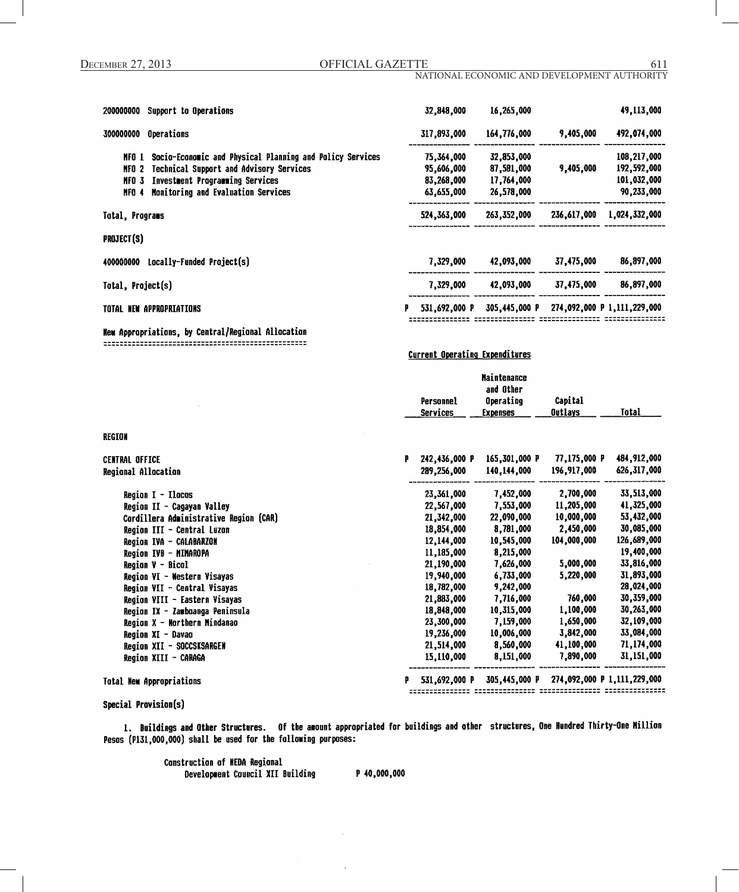## NATIONAL ECONOMIC AND DEVELOPMENT AUTHORITY

| Support to Operations<br>200000000                                |   | 32,848,000    | 16,265,000    |             | 49,113,000                  |
|-------------------------------------------------------------------|---|---------------|---------------|-------------|-----------------------------|
| <b>Operations</b><br>300000000                                    |   | 317,893,000   | 164,776,000   | 9,405,000   | 492,074,000                 |
| Socio-Economic and Physical Planning and Policy Services<br>NFO 1 |   | 75,364,000    | 32,853,000    |             | 108,217,000                 |
| Technical Support and Advisory Services<br>NFO 2                  |   | 95,606,000    | 87,581,000    | 9,405,000   | 192,592,000                 |
| Investment Programming Services<br>NFO 3                          |   | 83,268,000    | 17,764,000    |             | 101,032,000                 |
| Monitoring and Evaluation Services<br>MFO 4                       |   | 63,655,000    | 26,578,000    |             | 90,233,000                  |
| Total, Programs                                                   |   | 524, 363, 000 | 263,352,000   | 236,617,000 | 1,024,332,000               |
| PROJECT(S)                                                        |   |               |               |             |                             |
| Locally-Funded Project(s)<br>400000000                            |   | 7.329.000     | 42.093.000    | 37,475,000  | 86,897,000                  |
| Total, Project(s)                                                 |   | 7,329,000     | 42,093,000    | 37,475,000  | 86,897,000                  |
| TOTAL NEW APPROPRIATIONS                                          | p | 531.692.000 P | 305,445,000 P |             | 274,092,000 P 1,111,229,000 |

## New Appropriations, by Central/Regional Allocation

# **Current Operating Expenditures**

|           | <b>Maintenance</b> |         |              |
|-----------|--------------------|---------|--------------|
|           | and Other          |         |              |
| Personnel | Operating          | Capital |              |
| Services  | <b>Expenses</b>    | Outlays | <b>Total</b> |

## **REGION**

| CENTRAL OFFICE                         | P | 242,436,000 P | 165,301,000 P | 77,175,000 P                              | 484,912,000 |
|----------------------------------------|---|---------------|---------------|-------------------------------------------|-------------|
| Regional Allocation                    |   | 289,256,000   | 140,144,000   | 196,917,000                               | 626,317,000 |
| Region I - Ilacas                      |   | 23,361,000    | 7,452,000     | 2,700,000                                 | 33,513,000  |
| Region II - Cagayan Valley             |   | 22,567,000    | 7,553,000     | 11,205,000                                | 41,325,000  |
| Cordillera Administrative Region (CAR) |   | 21,342,000    | 22,090,000    | 10,000,000                                | 53,432,000  |
| Region III - Central Luzon             |   | 18,854,000    | 8,781,000     | 2,450,000                                 | 30,085,000  |
| Region IVA - CALABARZOM                |   | 12,144,000    | 10,545,000    | 104,000,000                               | 126,689,000 |
| Region IVB - MIMAROPA                  |   | 11,185,000    | 8,215,000     |                                           | 19,400,000  |
| Region V - Bicol                       |   | 21,190,000    | 7,626,000     | 5,000,000                                 | 33,816,000  |
| Region VI - Western Visayas            |   | 19,940,000    | 6,733,000     | 5,220,000                                 | 31,893,000  |
| Region VII - Central Visayas           |   | 18,782,000    | 9,242,000     |                                           | 28,024,000  |
| Region VIII - Eastern Visayas          |   | 21,883,000    | 7,716,000     | 760,000                                   | 30,359,000  |
| Region IX - Zamboanga Peninsula        |   | 18,848,000    | 10,315,000    | 1,100,000                                 | 30,263,000  |
| Region X - Northern Mindanao           |   | 23,300,000    | 7,159,000     | 1,650,000                                 | 32,109,000  |
| Region XI - Davao                      |   | 19,236,000    | 10,006,000    | 3,842,000                                 | 33,084,000  |
| Region XII - SOCCSKSARGEN              |   | 21,514,000    | 8,560,000     | 41,100,000                                | 71,174,000  |
| Region XIII - CARAGA                   |   | 15,110,000    | 8,151,000     | 7,890,000                                 | 31,151,000  |
| Total New Appropriations               |   | 531,692,000 P |               | 305,445,000 P 274,092,000 P 1,111,229,000 |             |

# Special Provision(s)

1. Buildings and Other Structures. Of the amount appropriated for buildings and other structures, One Hundred Thirty-One Million Pesas (P131,000,000) shall be used for the following purposes:

> Construction of NEDA Regional Development Council XII Building

P 40,000,000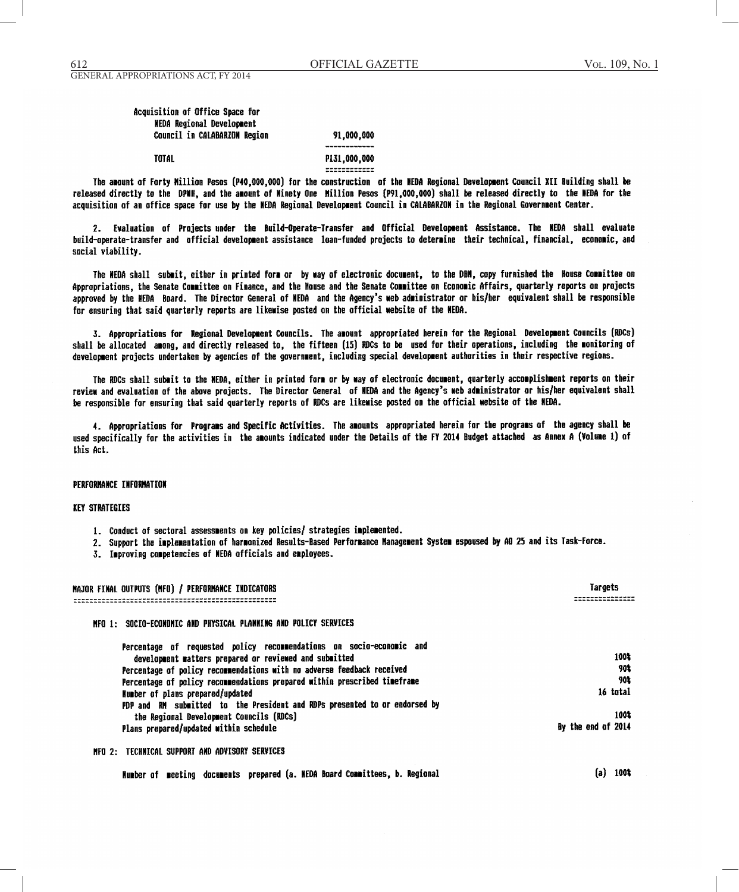**TOTAL** 

# Acquisition of Office Space for **NEDA Regional Development** Council in CALABARZON Region

91,000,000

P131,000,000 **EXECCEDEDICE** 

The amount of Forty Million Pesos (P40,000,000) for the construction of the NEDA Regional Development Council XII Building shall be released directly to the DPMH, and the amount of Minety One Million Pesos (P91,000,000) shall be released directly to the NEDA for the acquisition of an office space for use by the NEDA Regional Development Council in CALABARZON in the Regional Government Center.

2. Evaluation of Projects under the Build-Operate-Transfer and Official Development Assistance. The NEDA shall evaluate build-operate-transfer and official development assistance loan-funded projects to determine their technical, financial, economic, and social viability.

The NEDA shall submit, either in printed form or by way of electronic document, to the DBM, copy furnished the House Committee on Appropriations, the Senate Committee on Finance, and the Nouse and the Senate Committee on Economic Affairs, quarterly reports on projects approved by the NEDA Board. The Director General of NEDA and the Agency's web administrator or his/her equivalent shall be responsible for ensuring that said quarterly reports are likewise posted on the official website of the NEDA.

3. Appropriations for Regional Development Councils. The amount appropriated herein for the Regional Development Councils (RDCs) shall be allocated among, and directly released to, the fifteen (15) RDCs to be used for their operations, including the monitoring of development projects undertaken by agencies of the government, including special development authorities in their respective regions.

The RDCs shall submit to the NEDA, either in printed form or by way of electronic document, quarterly accomplishment reports on their review and evaluation of the above projects. The Director General of HEDA and the Agency's web administrator or his/her equivalent shall be responsible for ensuring that said quarterly reports of RDCs are likewise posted on the official website of the NEDA.

4. Appropriations for Programs and Specific Activities. The amounts appropriated herein for the programs of the agency shall be used specifically for the activities in the amounts indicated under the Details of the FY 2014 Budget attached as Annex A (Volume 1) of this Act.

#### **PERFORMANCE INFORMATION**

### **KEY STRATEGIES**

- 1. Conduct of sectoral assessments on key policies/ strategies implemented.
- 2. Support the implementation of harmonized Results-Based Performance Management System espoused by AO 25 and its Task-Force.
- 3. Improving competencies of NEDA officials and employees.

| MAJOR FINAL OUTPUTS (MFO) / PERFORMANCE INDICATORS                          | Targets            |
|-----------------------------------------------------------------------------|--------------------|
| MFO 1: SOCIO-ECONOMIC AND PHYSICAL PLANNING AND POLICY SERVICES             |                    |
| Percentage of requested policy recommendations on socio-economic and        |                    |
| development matters prepared or reviewed and submitted                      | 100%               |
| Percentage of policy recommendations with no adverse feedback received      | 901                |
| Percentage of policy recommendations prepared within prescribed timeframe   | 902                |
| Number of plans prepared/updated                                            | 16 total           |
| PDP and RM submitted to the President and RDPs presented to or endorsed by  |                    |
| the Regional Development Councils (RDCs)                                    | 100%               |
| Plans prepared/updated within schedule                                      | By the end of 2014 |
| NEO 2: TECHNICAL SUPPORT AND ADVISORY SERVICES                              |                    |
| Mumber of meeting documents prepared (a. MEDA Board Committees, b. Regional | 1003               |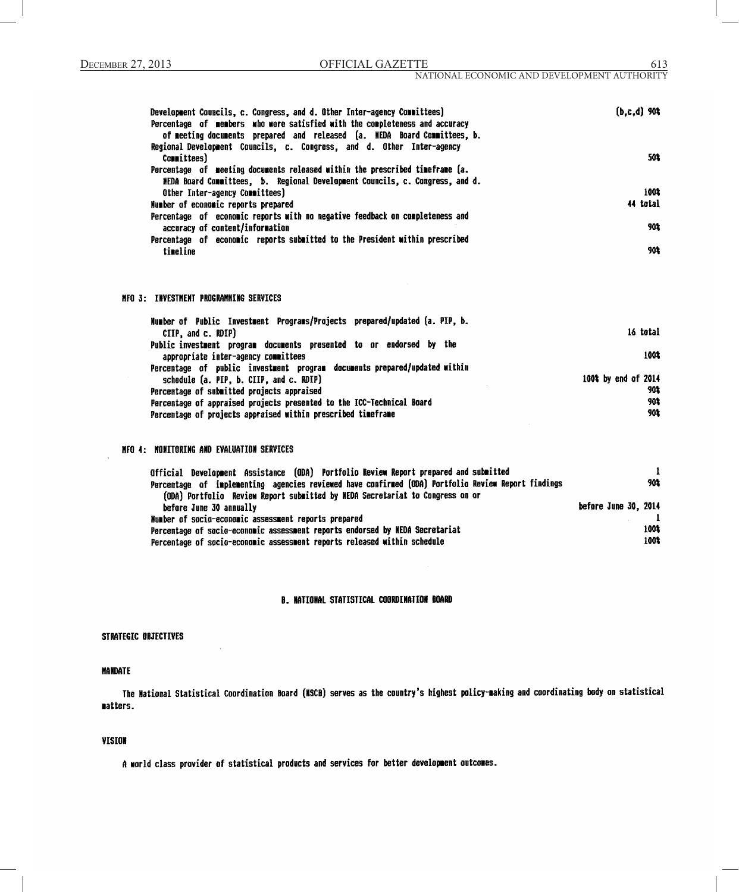| Development Councils, c. Congress, and d. Other Inter-agency Committees)<br>Percentage of members who were satisfied with the completeness and accuracy | $(b, c, d)$ 90% |
|---------------------------------------------------------------------------------------------------------------------------------------------------------|-----------------|
| of meeting documents prepared and released (a. NEDA Board Committees, b.<br>Regional Development Councils, c. Congress, and d. Other Inter-agency       |                 |
| Committees)                                                                                                                                             | 501             |
| Percentage of meeting documents released within the prescribed timeframe (a.                                                                            |                 |
| MEDA Board Committees, b. Regional Development Councils, c. Congress, and d.                                                                            |                 |
| Other Inter-agency Committees)                                                                                                                          | 100%            |
| Number of economic reports prepared                                                                                                                     | 44 total        |
| Percentage of economic reports with no negative feedback on completeness and                                                                            |                 |
| accuracy of content/information                                                                                                                         | 90%             |
| Percentage of economic reports submitted to the President within prescribed                                                                             |                 |
| timeline                                                                                                                                                | 90‡             |

### MFO 3: INVESTMENT PROGRAMMING SERVICES

| Humber of Public Investment Programs/Projects prepared/updated (a. PIP, b. |                     |
|----------------------------------------------------------------------------|---------------------|
| CIIP. and c. RDIP)                                                         | 16 total            |
| Public investment program documents presented to or endorsed by the        |                     |
| appropriate inter-agency committees                                        | 1001                |
| Percentage of public investment program documents prepared/updated within  |                     |
| schedule (a. PIP, b. CIIP, and c. RDIP)                                    | 100% by end of 2014 |
| Percentage of submitted projects appraised                                 | 902                 |
| Percentage of appraised projects presented to the ICC-Technical Board      | 901                 |
| Percentage of projects appraised within prescribed timeframe               | 902                 |

## NFO 4: NONITORING AND EVALUATION SERVICES

| Official Development Assistance (ODA) Portfolio Review Report prepared and submitted               |                      |
|----------------------------------------------------------------------------------------------------|----------------------|
| Percentage of implementing agencies reviewed have confirmed (ODA) Portfolio Review Report findings | 90%                  |
| (ODA) Portfolio Review Report submitted by NEDA Secretariat to Congress on or                      |                      |
| before June 30 annually                                                                            | before June 30, 2014 |
| Number of socio-economic assessment reports prepared                                               |                      |
| Percentage of socio-economic assessment reports endorsed by NEDA Secretariat                       | 100%                 |
| Percentage of socio-economic assessment reports released within schedule                           | 100%                 |

# **B. NATIONAL STATISTICAL COORDINATION BOARD**

## STRATEGIC OBJECTIVES

# **MANDATE**

The National Statistical Coordination Board (NSCB) serves as the country's highest policy-making and coordinating body on statistical matters.

# **VISION**

A world class provider of statistical products and services for better development outcomes.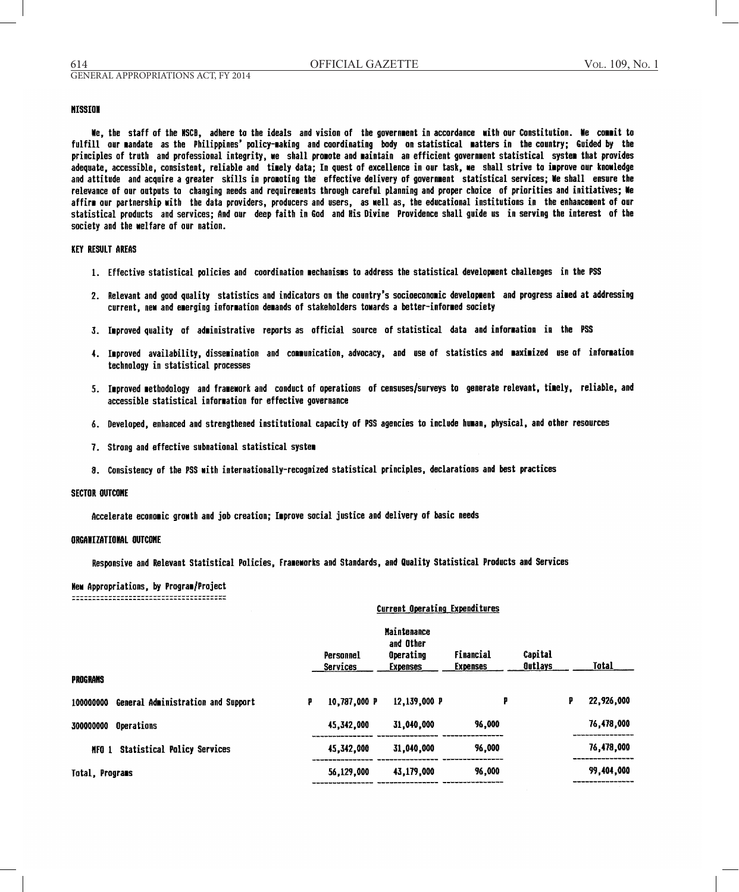# **NISSION**

We, the staff of the MSCB, adhere to the ideals and vision of the government in accordance with our Constitution. We commit to fulfill our mandate as the Philippines' policy-making and coordinating body on statistical matters in the country; Guided by the principles of truth and professional integrity, we shall promote and maintain an efficient government statistical system that provides adequate, accessible, consistent, reliable and timely data; In quest of excellence in our task, we shall strive to improve our knowledge and attitude and acquire a greater skills in promoting the effective delivery of government statistical services; We shall ensure the relevance of our outputs to changing needs and requirements through careful planning and proper choice of priorities and initiatives; Me affirm our partnership with the data providers, producers and users, as well as, the educational institutions in the enhancement of our statistical products and services; And our deep faith in God and His Divine Providence shall guide us in serving the interest of the society and the welfare of our nation.

# **KEY RESULT AREAS**

- 1. Effective statistical policies and coordination mechanisms to address the statistical development challenges in the PSS
- 2. Relevant and good quality statistics and indicators on the country's socioeconomic development and progress aimed at addressing current, new and emerging information demands of stakeholders towards a better-informed society
- 3. Improved quality of administrative reports as official source of statistical data and information in the PSS
- 4. Improved availability, dissemination and communication, advocacy, and use of statistics and maximized use of information technology in statistical processes
- 5. Improved methodology and framework and conduct of operations of censuses/surveys to generate relevant, timely, reliable, and accessible statistical information for effective governance
- 6. Developed, enhanced and strengthened institutional capacity of PSS agencies to include human, physical, and other resources
- 7. Strong and effective subnational statistical system
- 8. Consistency of the PSS with internationally-recognized statistical principles, declarations and best practices

#### **SECTOR OUTCOME**

Accelerate economic growth and job creation; Improve social justice and delivery of basic needs

#### **ORGANIZATIONAL OUTCOME**

Responsive and Relevant Statistical Policies, Frameworks and Standards, and Quality Statistical Products and Services

New Appropriations, by Program/Project 

# **Current Operating Expenditures**

|                                                 | Personnel<br>Services | <b>Maintenance</b><br>and Other<br>Operating<br><b>Expenses</b> | Financial<br><b>Expenses</b> | Capital<br>Outlays |   | Total      |
|-------------------------------------------------|-----------------------|-----------------------------------------------------------------|------------------------------|--------------------|---|------------|
| <b>PROGRAMS</b>                                 |                       |                                                                 |                              |                    |   |            |
| General Administration and Support<br>100000000 | 10,787,000 P<br>Р.    | 12,139,000 P                                                    | P                            |                    | ₽ | 22,926,000 |
| Operations<br>300000000                         | 45,342,000            | 31,040,000                                                      | 96,000                       |                    |   | 76,478,000 |
| <b>Statistical Policy Services</b><br>NFO 1     | 45,342,000            | 31,040,000                                                      | 96,000                       |                    |   | 76,478,000 |
| Total, Programs                                 | 56,129,000            | 43,179,000                                                      | 96,000                       |                    |   | 99,404,000 |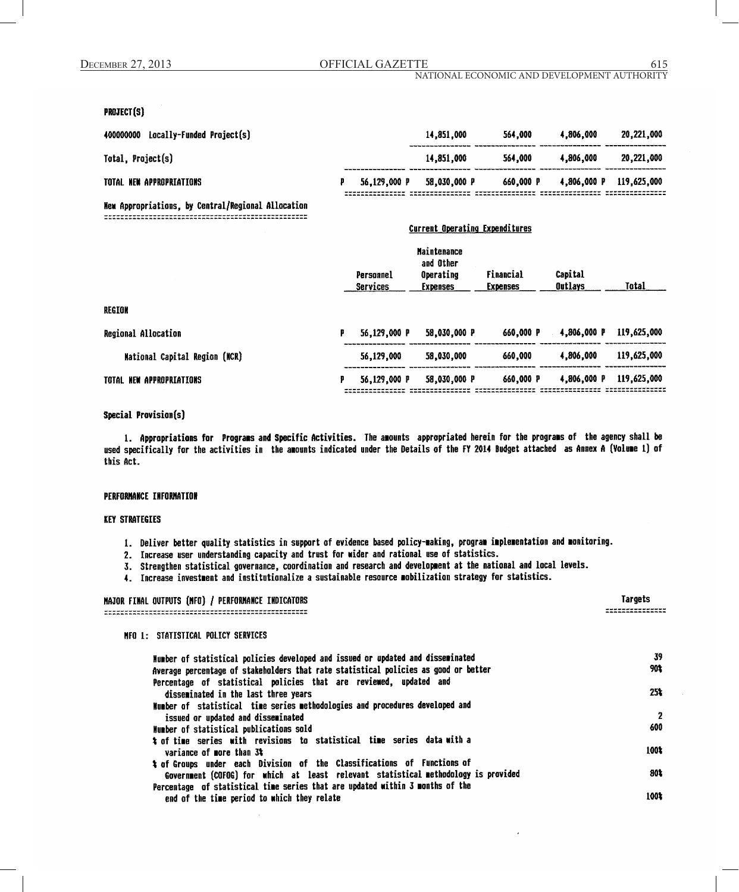### NATIONAL ECONOMIC AND DEVELOPMENT AUTHORITY

Current Operating Expenditures

# **PROJECT(S)**

| Locally-Funded Project(s)<br>400000000 |              | 14.851.000   | 564.000   | 4.806.000   |  | 20,221,000  |
|----------------------------------------|--------------|--------------|-----------|-------------|--|-------------|
| Total, Project(s)                      |              | 14,851,000   | 564,000   | 4.806.000   |  | 20.221.000  |
| TOTAL NEW APPROPRIATIONS               | 56.129.000 P | 58,030,000 P | 660.000 P | 4.806.000 P |  | 119.625.000 |

New Appropriations, by Central/Regional Allocation 

|                                      |   | Personnel<br>Services | <b>Maintenance</b><br>and Other<br>Operating<br><b>Expenses</b> | Financial<br><b>Expenses</b> | Capital<br><b>Outlays</b> | Total       |
|--------------------------------------|---|-----------------------|-----------------------------------------------------------------|------------------------------|---------------------------|-------------|
| REGION                               |   |                       |                                                                 |                              |                           |             |
| Regional Allocation                  | р | 56,129,000 P          | 58,030,000 P                                                    | 660.000 P                    | 4,806,000 P               | 119,625,000 |
| <b>Mational Capital Region (NCR)</b> |   | 56,129,000            | 58,030,000                                                      | 660.000                      | 4,806,000                 | 119,625,000 |
| TOTAL NEW APPROPRIATIONS             | р | 56,129,000 P          | 58,030,000 P                                                    | 660.000 P                    | 4,806,000 P               | 119,625,000 |
|                                      |   |                       |                                                                 |                              |                           |             |

# Special Provision(s)

1. Appropriations for Programs and Specific Activities. The amounts appropriated herein for the programs of the agency shall be used specifically for the activities in the amounts indicated under the Details of the FY 2014 Budget attached as Annex A (Volume 1) of this Act.

# **PERFORMANCE INFORMATION**

## **KEY STRATEGIES**

- 1. Deliver better quality statistics in support of evidence based policy-making, program implementation and monitoring.
- 2. Increase user understanding capacity and trust for wider and rational use of statistics.
- 3. Strengthen statistical governance, coordination and research and development at the national and local levels.
- 4. Increase investment and institutionalize a sustainable resource mobilization strategy for statistics.

## MAJOR FINAL OUTPUTS (MFO) / PERFORMANCE INDICATORS

# NFO 1: STATISTICAL POLICY SERVICES

| Number of statistical policies developed and issued or updated and disseminated     | 39              |
|-------------------------------------------------------------------------------------|-----------------|
| Average percentage of stakeholders that rate statistical policies as good or better | 90%             |
| Percentage of statistical policies that are reviewed, updated and                   |                 |
| disseminated in the last three years                                                | 25 <sup>k</sup> |
| Number of statistical time series methodologies and procedures developed and        |                 |
| issued or updated and disseminated                                                  | 2               |
| Number of statistical publications sold                                             | 600             |
| t of time series with revisions to statistical time series data-with a              |                 |
| variance of more than 3%                                                            | 100%            |
| # of Groups under each Division of the Classifications of Functions of              |                 |
| Government (COFOG) for which at least relevant statistical methodology is provided  | 80%             |
| Percentage of statistical time series that are updated within 3 months of the       |                 |
| end of the time period to which they relate                                         | 100%            |

615

Targets

----------------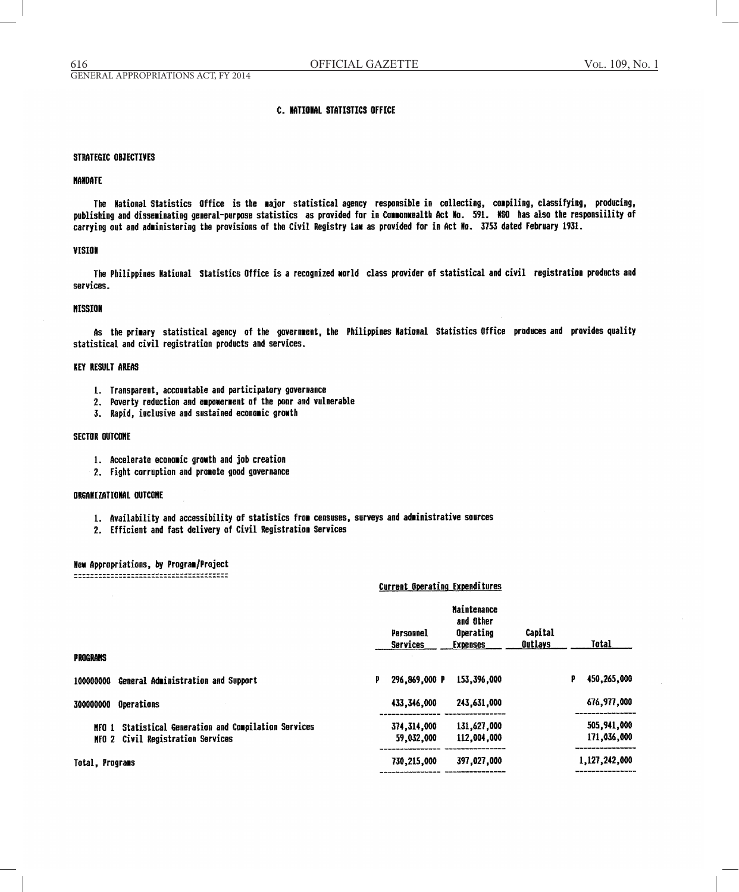## **C. NATIONAL STATISTICS OFFICE**

### STRATEGIC OBJECTIVES

#### **NANDATE**

The National Statistics Office is the major statistical agency responsible in collecting, compiling, classifying, producing, publishing and disseminating general-purpose statistics as provided for in Commonwealth Act No. 591. NSO has also the responsiility of carrying out and administering the provisions of the Civil Registry Law as provided for in Act No. 3753 dated February 1931.

## **VISION**

The Philippines Mational Statistics Office is a recognized world class provider of statistical and civil registration products and services.

### **MISSION**

As the primary statistical agency of the government, the Philippines Mational Statistics Office produces and provides quality statistical and civil registration products and services.

# **KEY RESULT AREAS**

- 1. Transparent, accountable and participatory governance
- 2. Poverty reduction and empowerment of the poor and vulnerable
- 3. Rapid, inclusive and sustained economic growth

# **SECTOR OUTCOME**

- 1. Accelerate economic growth and job creation
- 2. Fight corruption and promote good governance

### ORGANIZATIONAL OUTCOME

- 1. Availability and accessibility of statistics from censuses, surveys and administrative sources
- 2. Efficient and fast delivery of Civil Registration Services

#### New Appropriations, by Program/Project

### Current Operating Expenditures

|                                                       | Personnel<br>Services | <b>Maintenance</b><br>and Other<br>Operating<br><b>Expenses</b> | Capital<br><b>Qutlays</b> | <b>Total</b>     |
|-------------------------------------------------------|-----------------------|-----------------------------------------------------------------|---------------------------|------------------|
| PROGRANS                                              |                       |                                                                 |                           |                  |
| General Administration and Support<br>100000000       | 296,869,000 P<br>₽    | 153,396,000                                                     |                           | 450,265,000<br>p |
| Operations<br>300000000                               | 433,346,000           | 243.631.000                                                     |                           | 676,977,000      |
| MFO 1 Statistical Generation and Compilation Services | 374, 314, 000         | 131,627,000                                                     |                           | 505,941,000      |
| NFO 2 Civil Registration Services                     | 59,032,000            | 112,004,000                                                     |                           | 171,036,000      |
| Total, Programs                                       | 730,215,000           | 397,027,000                                                     |                           | 1,127,242,000    |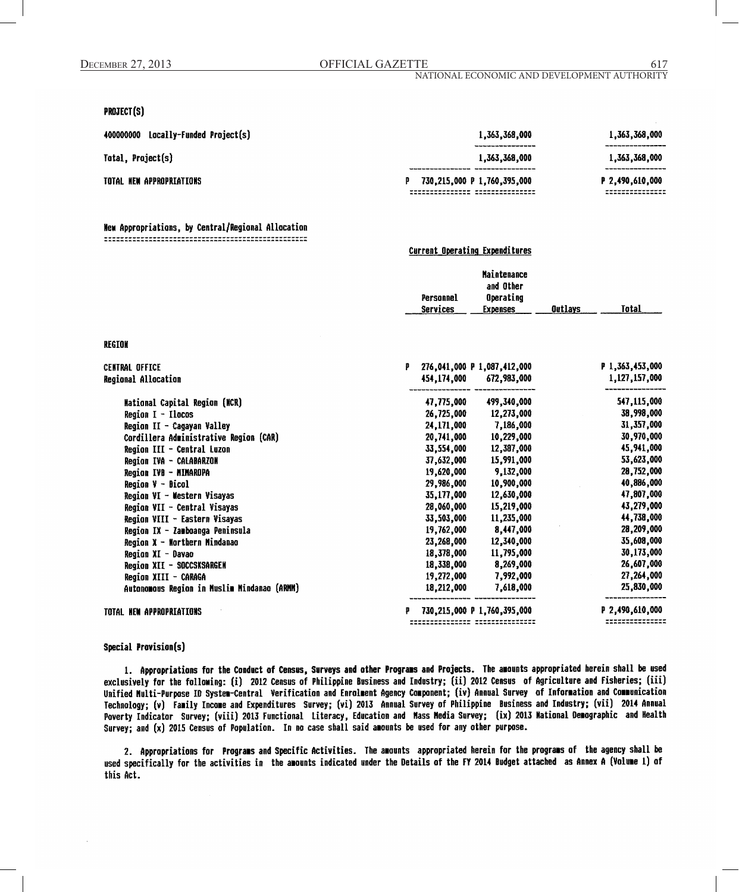**Current Operating Expenditures** 

# PROJECT(S)

| Locally-Funded Project(s)<br>400000000 | 1,363,368,000               | 1,363,368,000   |
|----------------------------------------|-----------------------------|-----------------|
| Total, Project(s)                      | 1.363.368.000               | 1,363,368,000   |
| TOTAL NEW APPROPRIATIONS               | 730,215,000 P 1,760,395,000 | P 2,490,610,000 |

### New Appropriations, by Central/Regional Allocation

|   | Personnel<br>Services | <b>Maintenance</b><br>and Other<br>Operating<br><b>Expenses</b> | Outlays                                                                                                                                         | Total           |
|---|-----------------------|-----------------------------------------------------------------|-------------------------------------------------------------------------------------------------------------------------------------------------|-----------------|
|   |                       |                                                                 |                                                                                                                                                 |                 |
| ₽ |                       |                                                                 |                                                                                                                                                 | P 1,363,453,000 |
|   |                       | 672,983,000                                                     |                                                                                                                                                 | 1,127,157,000   |
|   |                       | 499,340,000                                                     |                                                                                                                                                 | 547,115,000     |
|   |                       |                                                                 |                                                                                                                                                 | 38,998,000      |
|   |                       | 7,186,000                                                       |                                                                                                                                                 | 31,357,000      |
|   |                       |                                                                 |                                                                                                                                                 | 30,970,000      |
|   | 33,554,000            | 12,387,000                                                      |                                                                                                                                                 | 45,941,000      |
|   | 37,632,000            | 15,991,000                                                      |                                                                                                                                                 | 53,623,000      |
|   | 19,620,000            | 9,132,000                                                       |                                                                                                                                                 | 28,752,000      |
|   | 29,986,000            | 10,900,000                                                      |                                                                                                                                                 | 40,886,000      |
|   |                       | 12,630,000                                                      |                                                                                                                                                 | 47,807,000      |
|   | 28,060,000            | 15,219,000                                                      |                                                                                                                                                 | 43,279,000      |
|   | 33.503.000            | 11,235,000                                                      |                                                                                                                                                 | 44,738,000      |
|   | 19,762,000            | 8,447,000                                                       |                                                                                                                                                 | 28,209,000      |
|   | 23,268,000            | 12,340,000                                                      |                                                                                                                                                 | 35,608,000      |
|   | 18,378,000            | 11,795,000                                                      |                                                                                                                                                 | 30,173,000      |
|   | 18,338,000            | 8,269,000                                                       |                                                                                                                                                 | 26,607,000      |
|   | 19,272,000            | 7,992,000                                                       |                                                                                                                                                 | 27,264,000      |
|   | 18,212,000            | 7,618,000                                                       |                                                                                                                                                 | 25,830,000      |
|   |                       |                                                                 |                                                                                                                                                 | P 2,490,610,000 |
|   |                       | 20,741,000<br>35,177,000                                        | 276.041.000 P 1.087.412.000<br>454.174.000<br>47,775,000<br>26,725,000<br>12,273,000<br>24,171,000<br>10,229,000<br>730,215,000 P 1,760,395,000 |                 |

## Special Provision(s)

1. Appropriations for the Conduct of Census, Surveys and other Programs and Projects. The amounts appropriated herein shall be used exclusively for the following: (i) 2012 Census of Philippine Business and Industry; (ii) 2012 Census of Agriculture and Fisheries; (iii) Unified Multi-Purpose ID System-Central Verification and Enrolment Agency Component; (iv) Annual Survey of Information and Communication Technology; (v) Family Income and Expenditures Survey; (vi) 2013 Annual Survey of Philippine Business and Industry; (vii) 2014 Annual Poverty Indicator Survey; (viii) 2013 Functional Literacy, Education and Mass Media Survey; (ix) 2013 Mational Demographic and Health Survey; and (x) 2015 Census of Population. In no case shall said anounts be used for any other purpose.

2. Appropriations for Programs and Specific Activities. The amounts appropriated herein for the programs of the agency shall be used specifically for the activities in the amounts indicated under the Details of the FY 2014 Budget attached as Annex A (Volume 1) of this Act.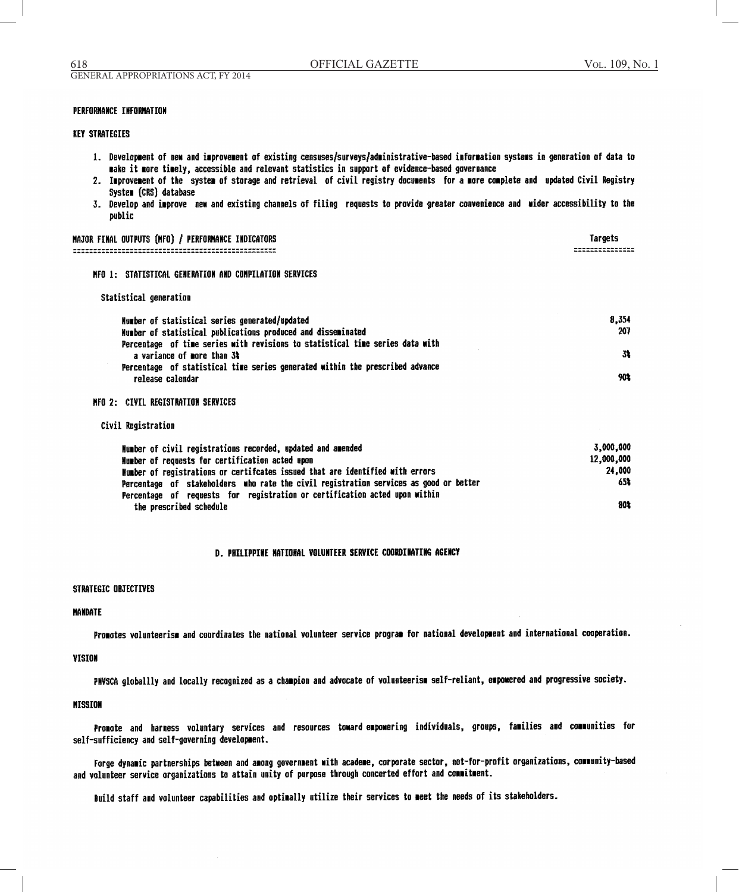MATOR CINAL OUTBUTE (MCG) / REREGRMANCE INDICATORS

Tornate

## **PERFORMANCE INFORMATION**

# KEY STRATEGIES

- 1. Development of new and improvement of existing censuses/surveys/administrative-based information systems in generation of data to make it more timely, accessible and relevant statistics in support of evidence-based governance
- 2. Improvement of the system of storage and retrieval of civil registry documents for a more complete and updated Civil Registry System (CRS) database
- 3. Develop and improve new and existing channels of filing requests to provide greater convenience and wider accessibility to the public

| NHJUR FINHL UVIPVIJ INFUJ / PERFURNHNGE INVIGHIURJ                                                          | 1919653    |
|-------------------------------------------------------------------------------------------------------------|------------|
|                                                                                                             |            |
| NFO 1: STATISTICAL GENERATION AND COMPILATION SERVICES                                                      |            |
| Statistical generation                                                                                      |            |
| Number of statistical series generated/updated                                                              | 8.354      |
| Humber of statistical publications produced and disseminated                                                | 207        |
| Percentage of time series with revisions to statistical time series data with<br>a variance of more than 3% | 31         |
| Percentage of statistical time series generated within the prescribed advance                               |            |
| release calendar                                                                                            | 90%        |
| MFO 2: CIVIL REGISTRATION SERVICES                                                                          |            |
| Civil Registration                                                                                          |            |
| Number of civil registrations recorded, updated and amended                                                 | 3,000,000  |
| Number of requests for certification acted upon                                                             | 12,000,000 |

| Number of requests for certification acted upon                                       | 12,000,000 |
|---------------------------------------------------------------------------------------|------------|
| Number of registrations or certifcates issued that are identified with errors         | 24,000     |
| Percentage of stakeholders who rate the civil registration services as good or better | 652        |
| Percentage of requests for registration or certification acted upon within            |            |
| the prescribed schedule                                                               | 80%        |

## D. PHILIPPINE NATIONAL VOLUNTEER SERVICE COORDINATING AGENCY

## STRATEGIC OBJECTIVES

#### **MANDATE**

Promotes volunteerism and coordinates the national volunteer service program for national development and international cooperation.

### **VISION**

PNVSCA globallly and locally recognized as a champion and advocate of volunteerism self-reliant, empomered and progressive society.

## **MISSION**

Promote and harness voluntary services and resources towardempowering individuals, groups, families and communities for self-sufficiency and self-governing development.

Forge dynamic partnerships between and among government with academe, corporate sector, not-for-profit organizations, community-based and volunteer service organizations to attain unity of purpose through concerted effort and commitment.

Build staff and volunteer capabilities and optimally utilize their services to meet the needs of its stakeholders.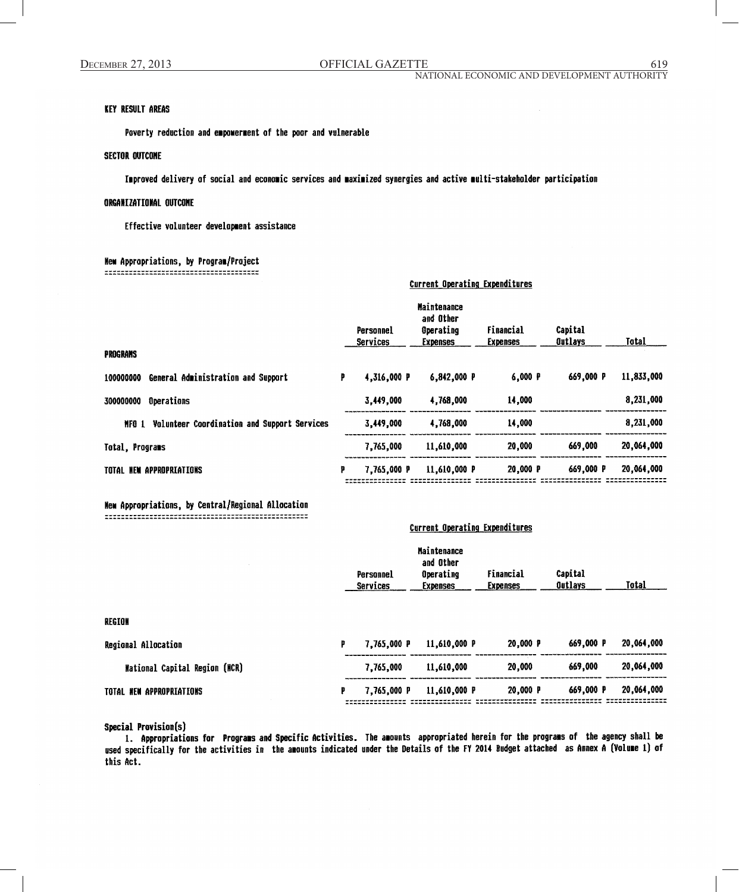# KEY RESULT AREAS

Poverty reduction and empowerment of the poor and vulnerable

## **SECTOR OUTCOME**

Improved delivery of social and economic services and maximized synergies and active multi-stakeholder participation

# ORGANIZATIONAL QUTCONE

Effective volunteer development assistance

## New Appropriations, by Program/Project

| PROGRAMS                                             |   | Personnel<br><b>Services</b> | <b>Maintenance</b><br>and Other<br>Operating<br><b>Expenses</b> | Financial<br><b>Expenses</b> | Capital<br><b>Outlays</b> | <b>Total</b> |
|------------------------------------------------------|---|------------------------------|-----------------------------------------------------------------|------------------------------|---------------------------|--------------|
| 100000000                                            | p | 4,316,000 P                  | 6.842.000 P                                                     | 6,000 P                      | 669.000 P                 | 11,833,000   |
| General Administration and Support                   |   |                              |                                                                 |                              |                           |              |
| Operations<br>300000000                              |   | 3.449.000                    | 4.768,000                                                       | 14,000                       |                           | 8,231,000    |
| Volunteer Coordination and Support Services<br>MFO 1 |   | 3,449,000                    | 4,768,000                                                       | 14,000                       |                           | 8,231,000    |
| Total, Programs                                      |   | 7,765,000                    | 11,610,000                                                      | 20,000                       | 669,000                   | 20,064,000   |
| TOTAL NEW APPROPRIATIONS                             | p | 7.765.000 P                  | 11,610,000 P                                                    | 20,000 P                     | 669,000 P                 | 20,064,000   |

## New Appropriations, by Central/Regional Allocation

# **Current Operating Expenditures**

Current Operating Expenditures

| 7.765.000 P |        | 669,000 P                                  | 20,064,000                              |
|-------------|--------|--------------------------------------------|-----------------------------------------|
| 7,765,000   | 20,000 | 669,000                                    | 20,064,000                              |
| 7,765,000 P |        | 669,000 P                                  | 20,064,000                              |
|             |        | 11,610,000 P<br>11,610,000<br>11,610,000 P | <b>Services</b><br>20,000 P<br>20,000 P |

# Special Provision(s)

1. Appropriations for Programs and Specific Activities. The amounts appropriated herein for the programs of the agency shall be used specifically for the activities in the amounts indicated under the Details of the FY 2014 Budget attached as Annex A (Volume 1) of this Act.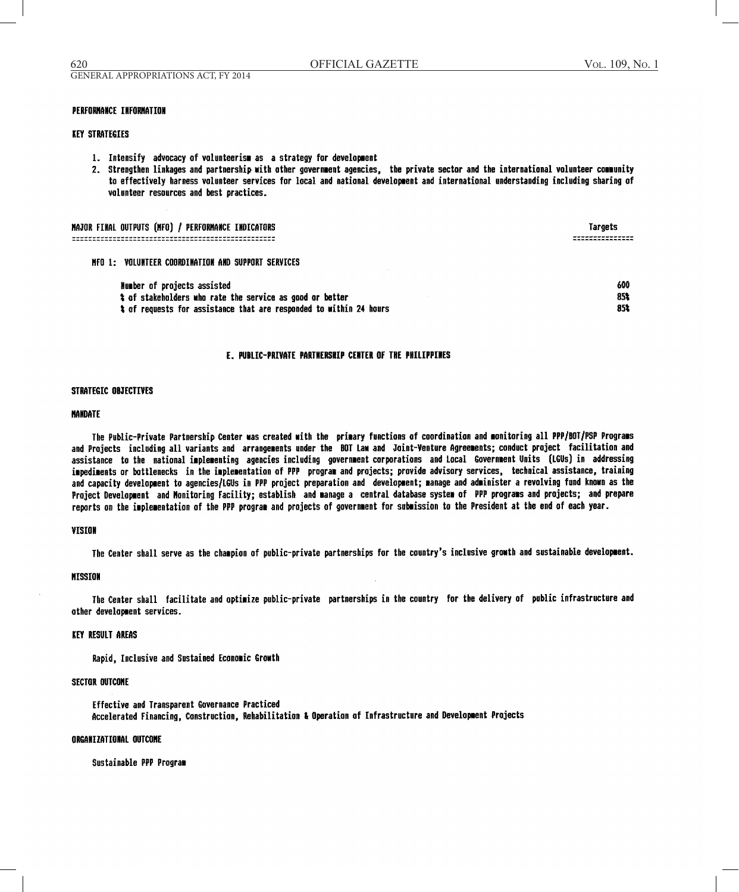## **PERFORMANCE INFORMATION**

### **KEY STRATEGIES**

- 1. Intensify advocacy of volunteerism as a strategy for development
- 2. Strengthen linkages and partnership with other government agencies, the private sector and the international volunteer community to effectively harness volunteer services for local and national development and international understanding including sharing of volunteer resources and best practices.

| MAJOR FINAL OUTPUTS (MFO) / PERFORMANCE INDICATORS                                                                                                            | Targets           |
|---------------------------------------------------------------------------------------------------------------------------------------------------------------|-------------------|
| NFO 1: VOLUNTEER COORDINATION AND SUPPORT SERVICES                                                                                                            |                   |
| Number of projects assisted<br>t of stakeholders who rate the service as good or better<br>t of requests for assistance that are responded to within 24 hours | 600<br>851<br>851 |

### E. PUBLIC-PRIVATE PARTNERSHIP CENTER OF THE PHILIPPINES

### STRATEGIC OBJECTIVES

### **NANDATE**

The Public-Private Partnership Center was created with the primary functions of coordination and monitoring all PPP/BOT/PSP Programs and Projects including all variants and arrangements under the BOT Law and Joint-Venture Agreements; conduct project facilitation and assistance to the national implementing agencies including government corporations and Local Government Units (LGUs) in addressing impediments or bottlenecks in the implementation of PPP program and projects; provide advisory services, technical assistance, training and capacity development to agencies/LGUs in PPP project preparation and development; manage and administer a revolving fund known as the Project Development and Monitoring Facility; establish and manage a central database system of PPP programs and projects; and prepare reports on the implementation of the PPP program and projects of government for submission to the President at the end of each year.

### VISION

The Center shall serve as the champion of public-private partnerships for the country's inclusive growth and sustainable development.

### **MISSION**

The Center shall facilitate and optimize public-private partnerships in the country for the delivery of public infrastructure and other development services.

## **KEY RESULT AREAS**

Rapid, Inclusive and Sustained Economic Growth

#### **SECTOR OUTCOME**

Effective and Transparent Governance Practiced Accelerated Financing, Construction, Rehabilitation & Operation of Infrastructure and Development Projects

### ORGANIZATIONAL OUTCOME

Sustainable PPP Program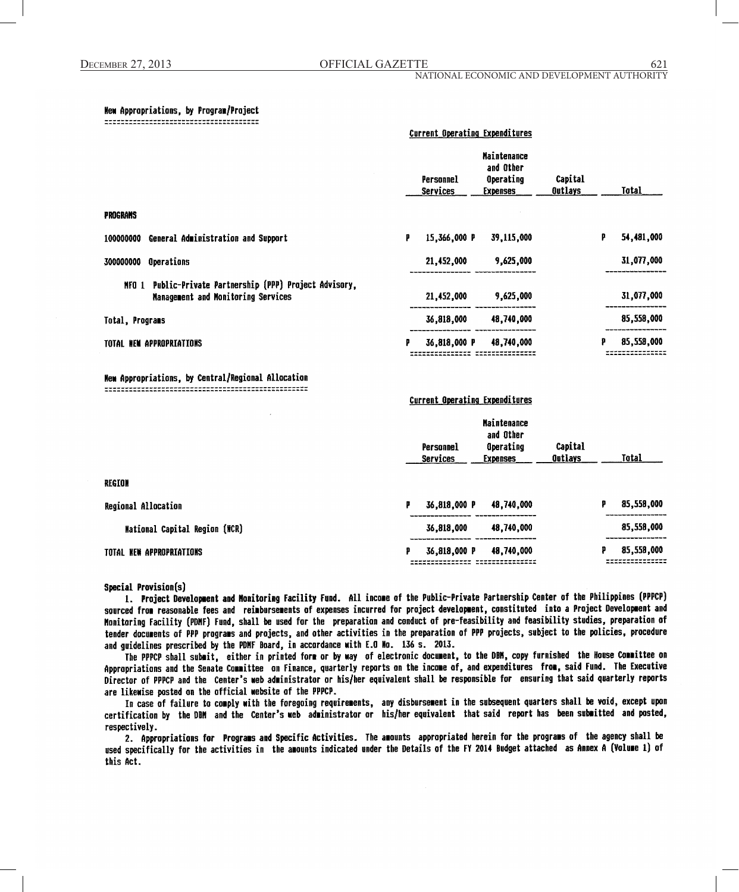**Current Operating Expenditures** 

**Current Operating Expenditures** 

#### New Appropriations, by Program/Project

|                                                                                                   |   | Personnel<br>Services | <b>Maintenance</b><br>and Other<br>Operating<br><b>Expenses</b> | Capital<br>Outlays |   | Total      |
|---------------------------------------------------------------------------------------------------|---|-----------------------|-----------------------------------------------------------------|--------------------|---|------------|
| <b>PROGRAMS</b>                                                                                   |   |                       |                                                                 |                    |   |            |
| General Administration and Support<br>100000000                                                   | p | 15,366,000 P          | 39,115,000                                                      |                    | P | 54,481,000 |
| Operations<br>300000000                                                                           |   | 21,452,000            | 9,625,000                                                       |                    |   | 31,077,000 |
| Public-Private Partnership (PPP) Project Advisory,<br>NFO 1<br>Nanagement and Monitoring Services |   | 21,452,000            | 9,625,000                                                       |                    |   | 31,077,000 |
| Total, Programs                                                                                   |   | 36,818,000            | 48,740,000                                                      |                    |   | 85,558,000 |
| TOTAL NEW APPROPRIATIONS                                                                          | р | 36,818,000 P          | 48,740,000                                                      |                    | P | 85,558,000 |

New Appropriations, by Central/Regional Allocation 

|                               |   | Personnel<br>Services | <b>Maintenance</b><br>and Other<br><b>Operating</b><br><b>Expenses</b> | Capital<br><b>Outlays</b> |   | Total      |
|-------------------------------|---|-----------------------|------------------------------------------------------------------------|---------------------------|---|------------|
| REGION                        |   |                       |                                                                        |                           |   |            |
| Regional Allocation           | р | 36,818,000 P          | 48,740,000                                                             |                           | ₽ | 85,558,000 |
| National Capital Region (NCR) |   | 36,818,000            | 48,740,000                                                             |                           |   | 85,558,000 |
| TOTAL NEW APPROPRIATIONS      | р | 36,818,000 P          | 48,740,000                                                             |                           | p | 85,558,000 |

Special Provision(s)

1. Project Development and Monitoring Facility Fund. All income of the Public-Private Partnership Center of the Philippines (PPPCP) sourced from reasonable fees and reimbursements of expenses incurred for project development, constituted into a Project Development and Monitoring Facility (PDNF) Fund, shall be used for the preparation and conduct of pre-feasibility and feasibility studies, preparation of tender documents of PPP programs and projects, and other activities in the preparation of PPP projects, subject to the policies, procedure and guidelines prescribed by the PDMF Board, in accordance with E.O Mo. 136 s. 2013.

The PPPCP shall submit, either in printed form or by way of electronic document, to the DBM, copy furnished the House Committee on Appropriations and the Senate Committee on Finance, quarterly reports on the income of, and expenditures from, said Fund. The Executive Director of PPPCP and the Center's web administrator or his/her equivalent shall be responsible for ensuring that said quarterly reports are likewise posted on the official website of the PPPCP.

In case of failure to comply with the foregoing requirements, any disbursement in the subsequent quarters shall be void, except upon certification by the DBM and the Center's web administrator or his/her equivalent that said report has been submitted and posted, respectively.

2. Appropriations for Programs and Specific Activities. The amounts appropriated herein for the programs of the agency shall be used specifically for the activities in the amounts indicated under the Details of the FY 2014 Budget attached as Annex A (Volume 1) of this Act.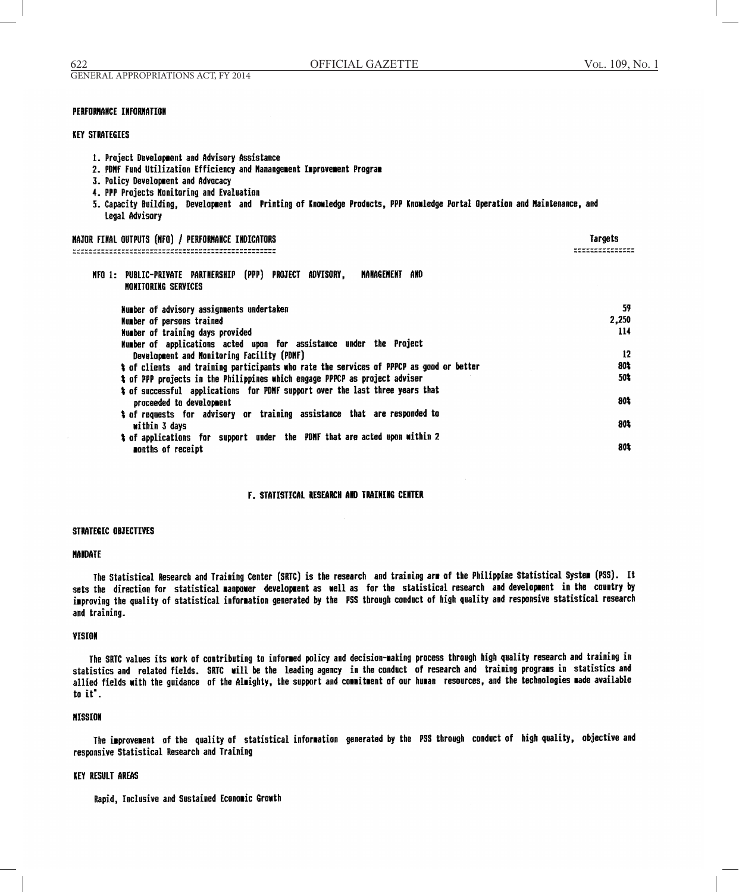# **PERFORMANCE INFORMATION**

## **KEY STRATEGIES**

- 1. Project Development and Advisory Assistance
- 2. PDNF Fund Utilization Efficiency and Manangement Improvement Program
- 3. Policy Development and Advocacy
- 4. PPP Projects Monitoring and Evaluation
- 5. Capacity Building, Development and Printing of Knowledge Products, PPP Knowledge Portal Operation and Maintenance, and Legal Advisory

| NAJOR FINAL OUTPUTS (NFO) / PERFORMANCE INDICATORS                                                 | Targets |
|----------------------------------------------------------------------------------------------------|---------|
|                                                                                                    |         |
| NFO 1: PUBLIC-PRIVATE PARTNERSHIP (PPP) PROJECT ADVISORY,<br>MANAGEMENT AND<br>MONITORING SERVICES |         |
| Number of advisory assignments undertaken                                                          | 59      |
| Number of persons trained                                                                          | 2,250   |
| Number of training days provided                                                                   | 114     |
| Number of applications acted upon for assistance under the Project                                 |         |
| Development and Monitoring Facility (PDMF)                                                         | 12      |
| % of clients and training participants who rate the services of PPPCP as good or better            | 80%     |
| % of PPP projects in the Philippines which engage PPPCP as project adviser                         | 50%     |
| * of successful applications for PDMF support over the last three years that                       |         |
| proceeded to development                                                                           | 80%     |
| # of requests for advisory or training assistance that are responded to                            |         |
| within 3 days                                                                                      | 80%     |
| % of applications for support under the PDMF that are acted upon within 2                          |         |
| menths of receipt                                                                                  | 801     |

## **F. STATISTICAL RESEARCH AND TRAINING CENTER**

#### STRATEGIC OBJECTIVES

## **MANDATE**

The Statistical Research and Training Center (SRTC) is the research and training arm of the Philippine Statistical System (PSS). It sets the direction for statistical manpower development as well as for the statistical research and development in the country by improving the quality of statistical information generated by the PSS through conduct of high quality and responsive statistical research and training.

#### VISION

The SRTC values its work of contributing to informed policy and decision-making process through high quality research and training in statistics and related fields. SRTC will be the leading agency in the conduct of research and training programs in statistics and allied fields with the guidance of the Almighty, the support and commitment of our human resources, and the technologies made available to it.

#### **MISSION**

The improvement of the quality of statistical information generated by the PSS through conduct of high quality, objective and responsive Statistical Research and Training

## **KEY RESULT AREAS**

Rapid, Inclusive and Sustained Economic Growth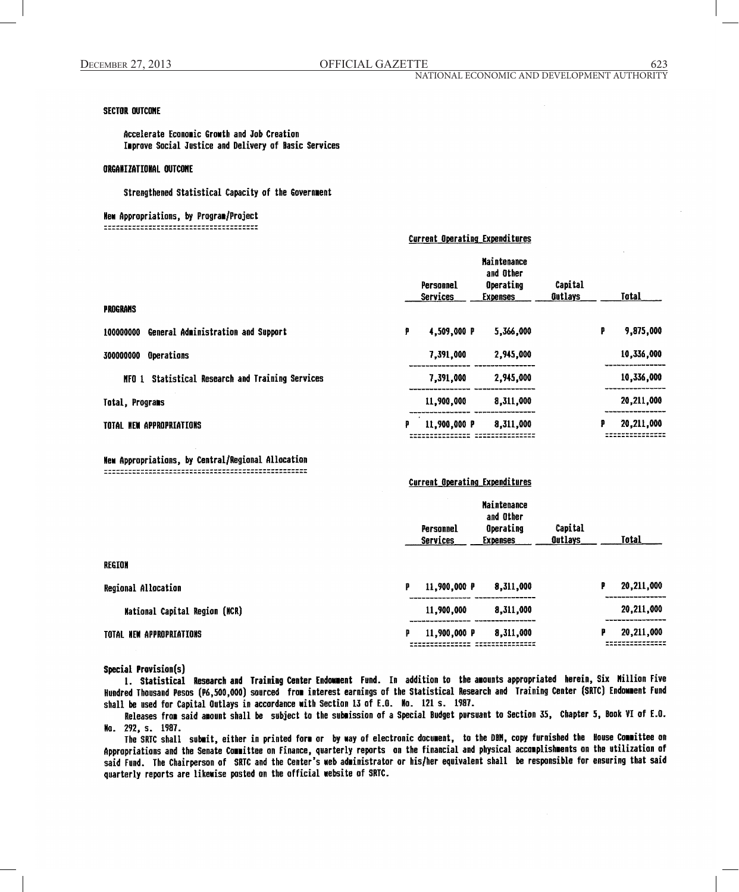# **SECTOR OUTCOME**

Accelerate Economic Growth and Job Creation Improve Social Justice and Delivery of Basic Services

## **ORGANIZATIONAL OUTCONE**

Strengthened Statistical Capacity of the Government

New Appropriations, by Program/Project 

| <b>PROGRAMS</b>                                     |   | Personnel<br><b>Services</b> | <b>Maintenance</b><br>and Other<br>Operating<br>Expenses | Capital<br>Outlays |   | Total      |
|-----------------------------------------------------|---|------------------------------|----------------------------------------------------------|--------------------|---|------------|
| General Administration and Support<br>100000000     | ₽ | 4,509,000 P                  | 5,366,000                                                |                    | P | 9,875,000  |
| Operations<br>300000000                             |   | 7,391,000                    | 2,945,000                                                |                    |   | 10,336,000 |
| Statistical Research and Training Services<br>MFO 1 |   | 7,391,000                    | 2,945,000                                                |                    |   | 10,336,000 |
| Total, Programs                                     |   | 11,900,000                   | 8,311,000                                                |                    |   | 20,211,000 |
| TOTAL NEW APPROPRIATIONS                            | ₽ | 11,900,000 P                 | 8,311,000                                                |                    | p | 20,211,000 |

Wew Appropriations, by Central/Regional Allocation 

# Current\_Operating\_Expenditures

**Current Operating Expenditures** 

|                                      | <b>Maintenance</b><br>and Other<br>Operating<br>Personnel<br><b>Services</b><br><b>Expenses</b> | Capital<br>Total<br>Outlays  |
|--------------------------------------|-------------------------------------------------------------------------------------------------|------------------------------|
| REGION                               |                                                                                                 |                              |
| <b>Regional Allocation</b>           | 11,900,000 P<br>p                                                                               | 20,211,000<br>8,311,000<br>Ρ |
| <b>Mational Capital Region (MCR)</b> | 11,900,000                                                                                      | 20,211,000<br>8,311,000      |
| TOTAL NEW APPROPRIATIONS             | 8,311,000<br>11,900,000 P<br>p                                                                  | 20,211,000<br>р              |

Special Provision(s)

1. Statistical Research and Training Center Endowment Fund. In addition to the amounts appropriated herein, Six Million Five Hundred Thousand Pesos (P6,500,000) sourced from interest earnings of the Statistical Research and Training Center (SRTC) Endowment Fund shall be used for Capital Outlays in accordance with Section 13 of E.O. No. 121 s. 1987.

Releases from said amount shall be subject to the submission of a Special Budget pursuant to Section 35, Chapter 5, Book VI of E.O. No. 292, s. 1987.

The SRTC shall submit, either in printed form or by way of electronic document, to the DBM, copy furnished the House Committee on Appropriations and the Senate Committee on Finance, quarterly reports on the financial and physical accomplishments on the utilization of said Fund. The Chairperson of SRTC and the Center's web administrator or his/her equivalent shall be responsible for ensuring that said quarterly reports are likewise posted on the official website of SRTC.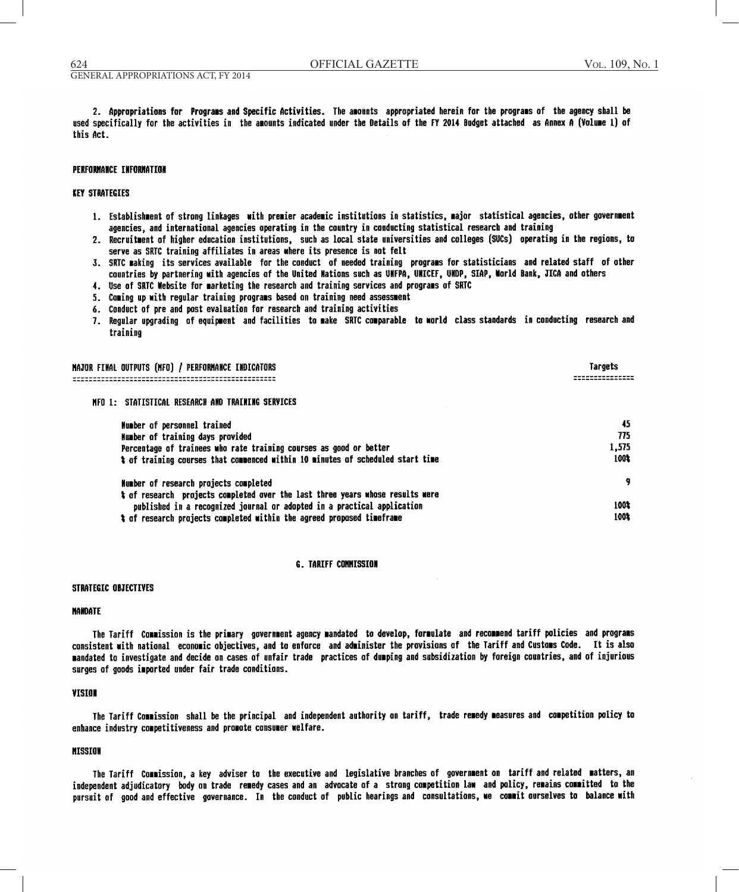2. Appropriations for Programs and Specific Activities. The amounts appropriated herein for the programs of the agency shall be used specifically for the activities in the amounts indicated under the Details of the FY 2014 Budget attached as Annex A (Volume 1) of this Act.

### **PERFORMANCE INFORMATION**

## **KEY STRATEGIES**

- 1. Establishment of strong linkages with premier academic institutions in statistics, major statistical agencies, other government agencies, and international agencies operating in the country in conducting statistical research and training
- 2. Recruitment of higher education institutions, such as local state universities and colleges (SUCs) operating in the regions, to serve as SRTC training affiliates in areas where its presence is not felt
- 3. SRTC making its services available for the conduct of needed training programs for statisticians and related staff of other countries by partnering with agencies of the United Mations such as UMFPA, UMICEF, UMDP, SIAP, World Bank, JICA and others
- 4. Use of SRTC Website for marketing the research and training services and programs of SRTC
- 5. Coming up with regular training programs based on training need assessment
- 6. Conduct of pre and post evaluation for research and training activities
- 7. Reqular upgrading of equipment and facilities to make SRTC comparable to world class standards in conducting research and training

| NAJOR FINAL OUTPUTS (NFG) / PERFORMANCE INDICATORS                             | Targets |
|--------------------------------------------------------------------------------|---------|
| MFO 1: STATISTICAL RESEARCH AND TRAINING SERVICES                              |         |
| Wumber of personnel trained                                                    | 45      |
| Number of training days provided                                               | 775     |
| Percentage of trainees who rate training courses as good or better             | 1,575   |
| t of training courses that commenced within 10 minutes of scheduled start time | 100%    |
| Number of research projects completed                                          |         |

| HUBBAL AT TAAAGLAH BIA'IAASA AASATASAA                                        |      |
|-------------------------------------------------------------------------------|------|
| t of research projects completed over the last three years whose results were |      |
| published in a recognized journal or adopted in a practical application       | 100% |
| t of research projects completed within the agreed proposed timeframe         | 100% |

#### **G. TARIFF COMMISSION**

### STRATEGIC OBJECTIVES

#### **NANDATE**

The Tariff Commission is the primary government agency mandated to develop, formulate and recommend tariff policies and programs consistent with national economic objectives, and to enforce and administer the provisions of the Tariff and Customs Code. It is also mandated to investigate and decide on cases of unfair trade practices of dumping and subsidization by foreign countries, and of injurious surges of goods imported under fair trade conditions.

#### **VISION**

The Tariff Commission shall be the principal and independent authority on tariff, trade remedy measures and competition policy to enhance industry competitiveness and promote consumer welfare.

#### **NISSION**

The Tariff Commission, a key adviser to the executive and legislative branches of government on tariff and related matters, an independent adjudicatory body on trade remedy cases and an advocate of a strong competition law and policy, remains committed to the pursuit of good and effective governance. In the conduct of public hearings and consultations, we commit ourselves to balance with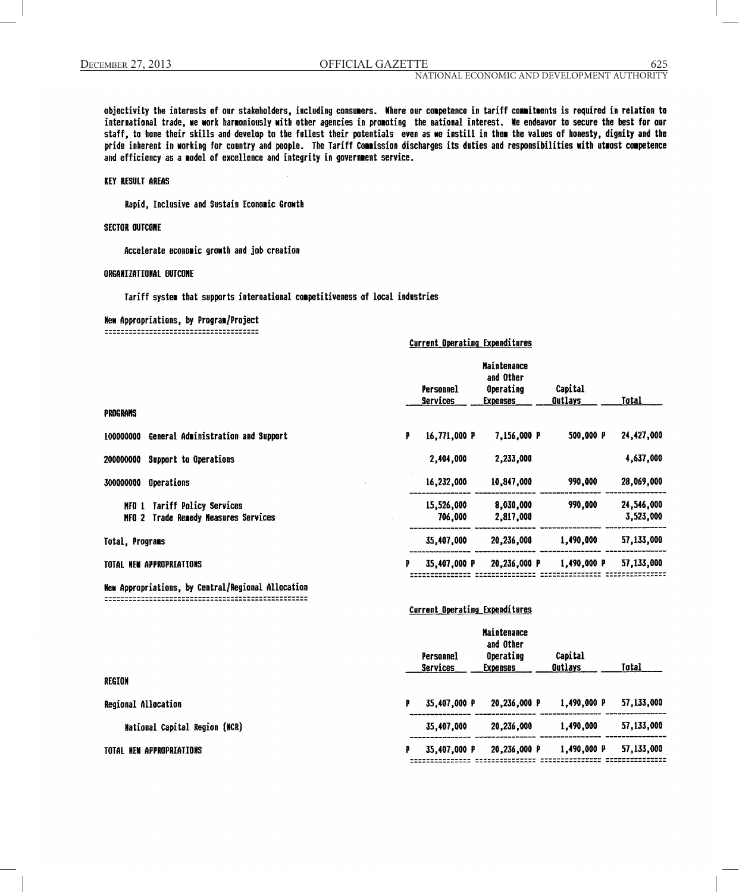625

objectivity the interests of our stakeholders, including consumers. Where our competence in tariff commitments is required in relation to international trade, we work harmoniously with other agencies in promoting the national interest. We endeavor to secure the best for our staff, to hone their skills and develop to the fullest their potentials even as we instill in them the values of honesty, dignity and the pride inherent in working for country and people. The Tariff Commission discharges its duties and responsibilities with utwost competence and efficiency as a model of excellence and integrity in government service.

# KEY RESULT AREAS

Rapid, Inclusive and Sustain Economic Growth

## **SECTOR OUTCOME**

Accelerate economic growth and job creation

### ORGANIZATIONAL OUTCOME

Tariff system that supports international competitiveness of local industries

## **New Appropriations, by Program/Project**

## **Current Operating Expenditures**

|                                                                                   |   | Personnel<br>Services | <b>Maintenance</b><br>and Other<br>Operating<br><b>Expenses</b> | Capital<br><b>Outlays</b> | Total                   |
|-----------------------------------------------------------------------------------|---|-----------------------|-----------------------------------------------------------------|---------------------------|-------------------------|
| PROGRAMS                                                                          |   |                       |                                                                 |                           |                         |
| General Administration and Support<br>100000000                                   | P | 16,771,000 P          | 7,156,000 P                                                     | 500,000 P                 | 24,427,000              |
| Support to Operations<br>200000000                                                |   | 2,404,000             | 2.233.000                                                       |                           | 4,637,000               |
| Operations<br>300000000                                                           |   | 16,232,000            | 10,847,000                                                      | 990,000                   | 28,069,000              |
| <b>Tariff Policy Services</b><br>NFO 1<br>Trade Remedy Measures Services<br>NFO 2 |   | 15,526,000<br>706,000 | 8,030,000<br>2,817,000                                          | 990,000                   | 24,546,000<br>3.523.000 |
| Total, Programs                                                                   |   | 35,407,000            | 20,236,000                                                      | 1,490,000                 | 57,133,000              |
| TOTAL NEW APPROPRIATIONS                                                          | ₽ | 35,407,000 P          | 20,236,000 P                                                    | 1,490,000 P               | 57,133,000              |
| New Appropriations, by Central/Regional Allocation                                |   |                       |                                                                 |                           |                         |

#### **Current Operating Expenditures**

| REGION                               |   | Personnel<br><b>Services</b> | <b>Maintenance</b><br>and Other<br>Operating<br><b>Expenses</b> | Capital<br><b>Outlays</b> | <b>Total</b> |
|--------------------------------------|---|------------------------------|-----------------------------------------------------------------|---------------------------|--------------|
|                                      |   |                              |                                                                 |                           |              |
| Regional Allocation                  | P | 35,407,000 P                 | 20,236,000 P                                                    | 1,490,000 P               | 57,133,000   |
| <b>Mational Capital Region (NCR)</b> |   | 35,407,000                   | 20,236,000                                                      | 1,490,000                 | 57,133,000   |
| TOTAL NEW APPROPRIATIONS             | p | 35,407,000 P                 | 20,236,000 P                                                    | 1,490,000 P               | 57,133,000   |
|                                      |   |                              |                                                                 |                           |              |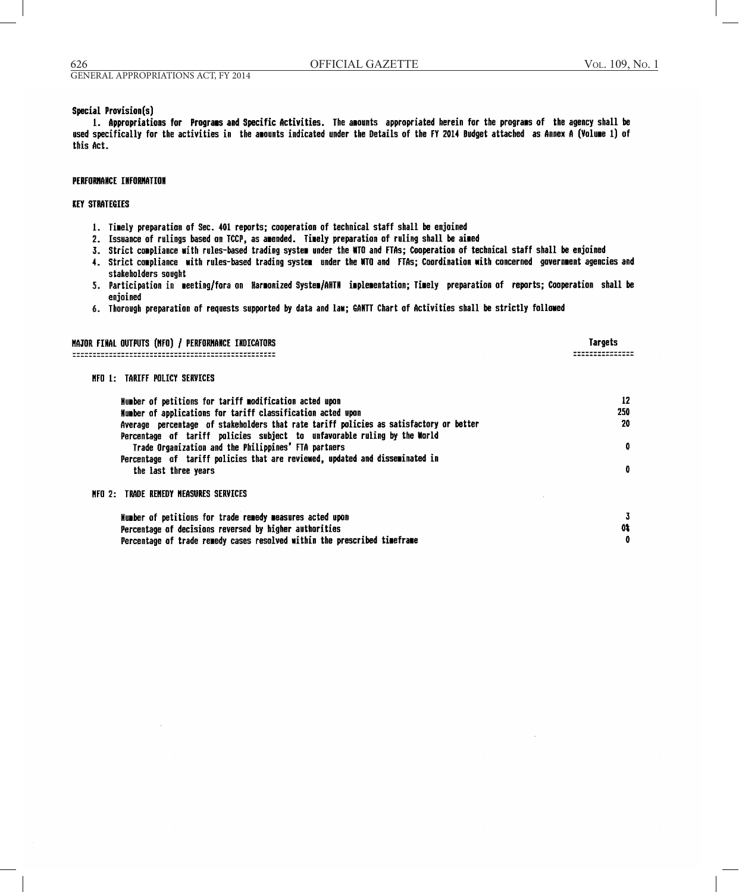Targets

----------------

01

û

## **Special Provision(s)**

1. Appropriations for Programs and Specific Activities. The amounts appropriated herein for the programs of the agency shall be used specifically for the activities in the amounts indicated under the Details of the FY 2014 Budget attached as Annex A (Volume 1) of this Act.

## **PERFORMANCE INFORMATION**

# **KEY STRATEGIES**

- 1. Timely preparation of Sec. 401 reports; cooperation of technical staff shall be enjoined
- 2. Issuance of rulings based on TCCP, as amended. Timely preparation of ruling shall be aimed
- 3. Strict compliance with rules-based trading system under the WTO and FTAs; Cooperation of technical staff shall be enjoined
- 4. Strict compliance with rules-based trading system under the WTO and FTAs; Coordination with concerned government agencies and stakeholders sought
- 5. Participation in meeting/fora on Harmonized System/AHTN implementation; Timely preparation of reports; Cooperation shall be enjoined
- 6. Thorough preparation of requests supported by data and law; GANTT Chart of Activities shall be strictly followed

MAJOR FINAL OUTPUTS (NFO) / PERFORMANCE INDICATORS 

MFO 1: TARIFF POLICY SERVICES

| Number of petitions for tariff modification acted upon<br>Humber of applications for tariff classification acted upon                                              | 12<br>250    |
|--------------------------------------------------------------------------------------------------------------------------------------------------------------------|--------------|
| Average percentage of stakeholders that rate tariff policies as satisfactory or better<br>Percentage of tariff policies subject to unfavorable ruling by the World | 20           |
| Trade Organization and the Philippines' FTA partners<br>Percentage of tariff policies that are reviewed, updated and disseminated in                               | $\mathbf{0}$ |
| the last three years                                                                                                                                               | 0            |
| MFO 2: TRADE REMEDY MEASURES SERVICES                                                                                                                              |              |
| Mumber of petitions for trade remedy measures acted upon                                                                                                           |              |

Number of petitions for trade remedy measures acted upon Percentage of decisions reversed by higher authorities Percentage of trade remedy cases resolved within the prescribed timeframe